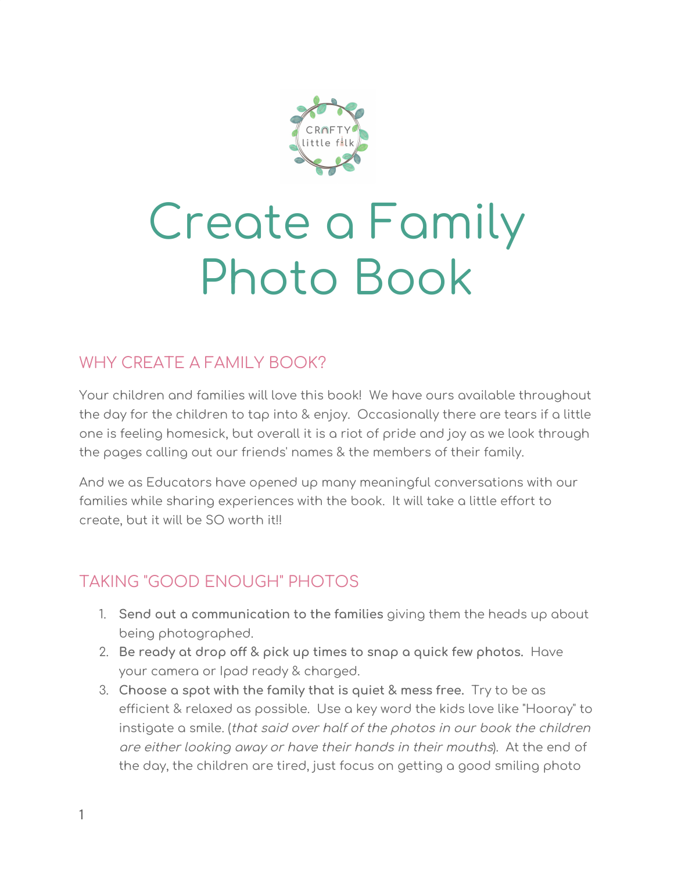

# Create a Family Photo Book

## WHY CREATE A FAMILY BOOK?

Your children and families will love this book! We have ours available throughout the day for the children to tap into & enjoy. Occasionally there are tears if a little one is feeling homesick, but overall it is a riot of pride and joy as we look through the pages calling out our friends' names & the members of their family.

And we as Educators have opened up many meaningful conversations with our families while sharing experiences with the book. It will take a little effort to create, but it will be SO worth it!!

# TAKING "GOOD ENOUGH" PHOTOS

- 1. **Send out a communication to the families** giving them the heads up about being photographed.
- 2. **Be ready at drop off & pick up times to snap a quick few photos.** Have your camera or Ipad ready & charged.
- 3. **Choose a spot with the family that is quiet & mess free.** Try to be as efficient & relaxed as possible. Use a key word the kids love like "Hooray" to instigate a smile. (that said over half of the photos in our book the children are either looking away or have their hands in their mouths). At the end of the day, the children are tired, just focus on getting a good smiling photo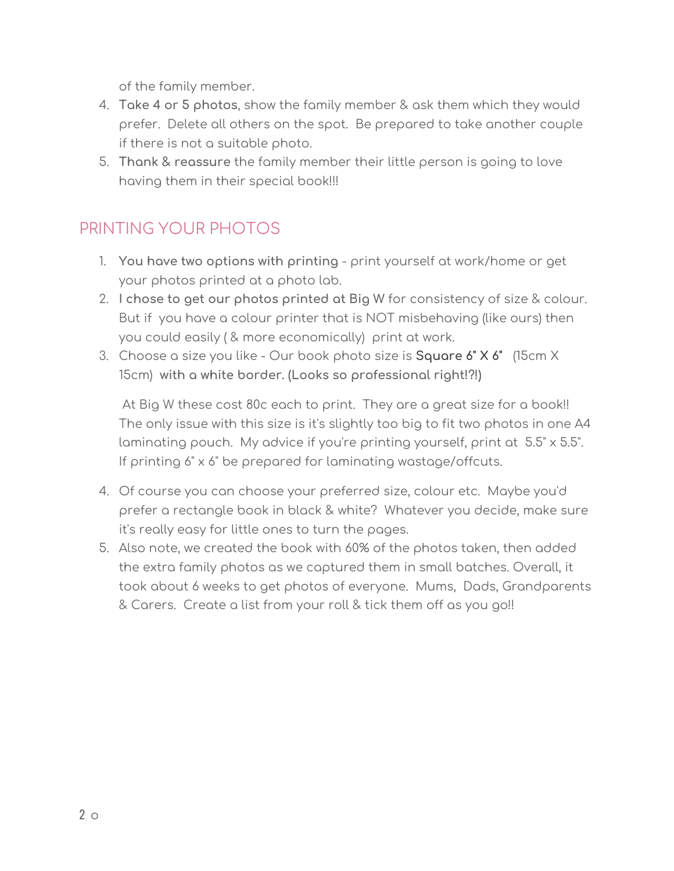of the family member.

- 4. **Take 4 or 5 photos**, show the family member & ask them which they would prefer. Delete all others on the spot. Be prepared to take another couple if there is not a suitable photo.
- 5. **Thank & reassure** the family member their little person is going to love having them in their special book!!!

# PRINTING YOUR PHOTOS

- 1. **You have two options with printing** print yourself at work/home or get your photos printed at a photo lab.
- 2. **I chose to get our photos printed at Big W** for consistency of size & colour. But if you have a colour printer that is NOT misbehaving (like ours) then you could easily ( & more economically) print at work.
- 3. Choose a size you like Our book photo size is **Square 6" X 6"** (15cm X 15cm) **with a white border. (Looks so professional right!?!)**

At Big W these cost 80c each to print. They are a great size for a book!! The only issue with this size is it's slightly too big to fit two photos in one A4 laminating pouch. My advice if you're printing yourself, print at 5.5" x 5.5". If printing 6" x 6" be prepared for laminating wastage/offcuts.

- 4. Of course you can choose your preferred size, colour etc. Maybe you'd prefer a rectangle book in black & white? Whatever you decide, make sure it's really easy for little ones to turn the pages.
- 5. Also note, we created the book with 60% of the photos taken, then added the extra family photos as we captured them in small batches. Overall, it took about 6 weeks to get photos of everyone. Mums, Dads, Grandparents & Carers. Create a list from your roll & tick them off as you go!!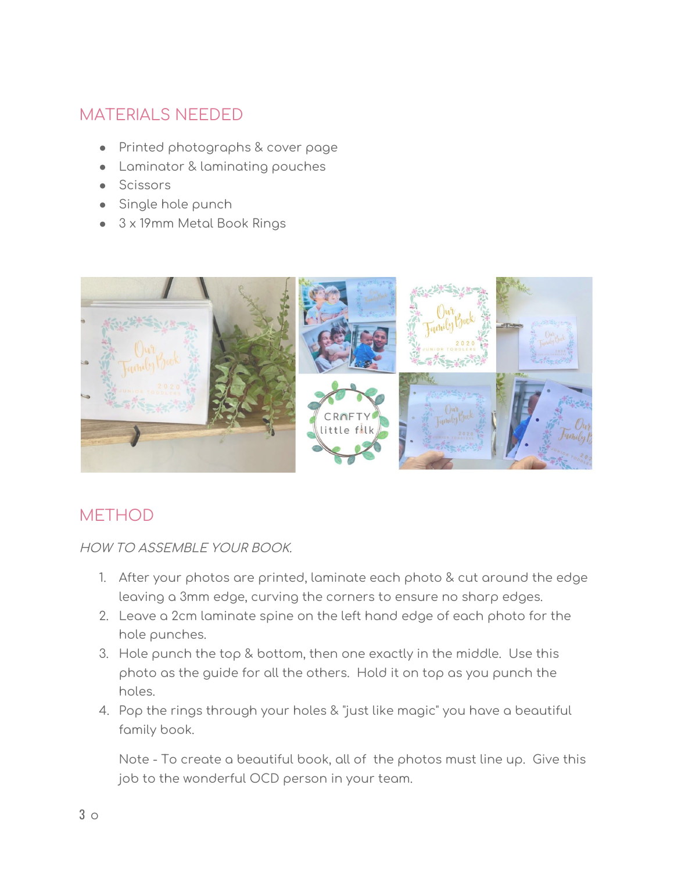### MATERIALS NEEDED

- Printed photographs & cover page
- Laminator & laminating pouches
- Scissors
- Single hole punch
- 3 x 19mm Metal Book Rings



#### **METHOD**

HOW TO ASSEMBLE YOUR BOOK.

- 1. After your photos are printed, laminate each photo & cut around the edge leaving a 3mm edge, curving the corners to ensure no sharp edges.
- 2. Leave a 2cm laminate spine on the left hand edge of each photo for the hole punches.
- 3. Hole punch the top & bottom, then one exactly in the middle. Use this photo as the guide for all the others. Hold it on top as you punch the holes.
- 4. Pop the rings through your holes & "just like magic" you have a beautiful family book.

Note - To create a beautiful book, all of the photos must line up. Give this job to the wonderful OCD person in your team.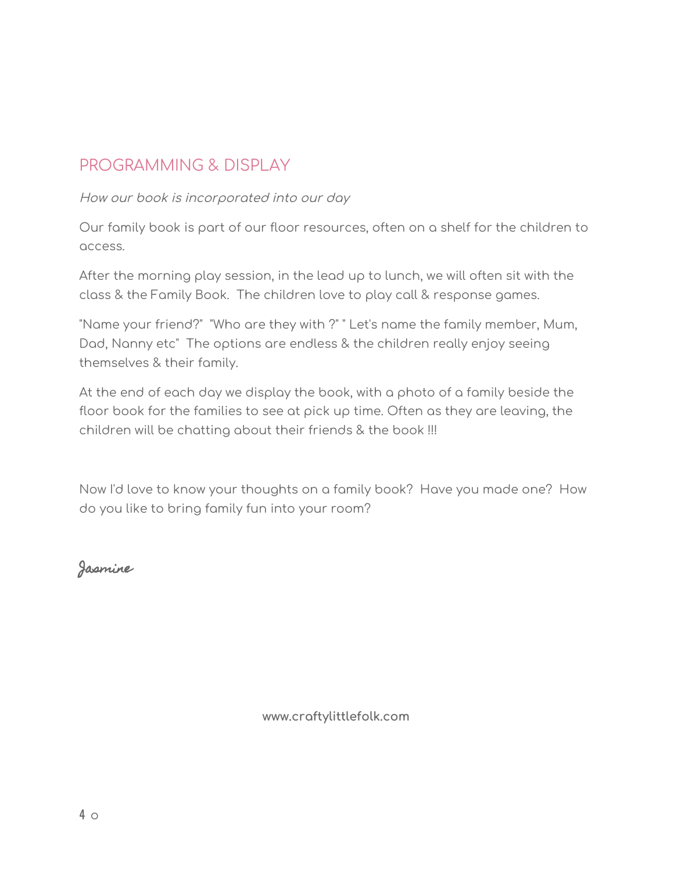#### PROGRAMMING & DISPLAY

How our book is incorporated into our day

Our family book is part of our floor resources, often on a shelf for the children to access.

After the morning play session, in the lead up to lunch, we will often sit with the class & the Family Book. The children love to play call & response games.

"Name your friend?" "Who are they with ?" " Let's name the family member, Mum, Dad, Nanny etc" The options are endless & the children really enjoy seeing themselves & their family.

At the end of each day we display the book, with a photo of a family beside the floor book for the families to see at pick up time. Often as they are leaving, the children will be chatting about their friends & the book !!!

Now I'd love to know your thoughts on a family book? Have you made one? How do you like to bring family fun into your room?

Jasmine

**www.craftylittlefolk.com**